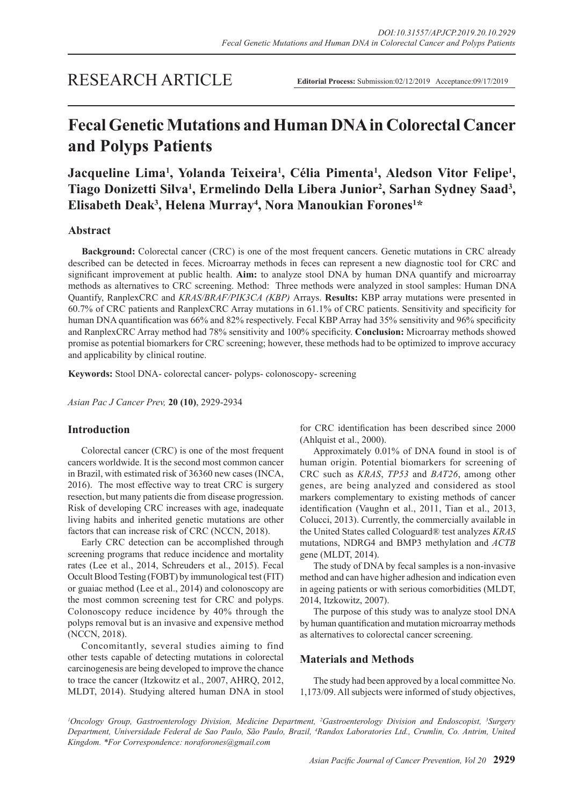## RESEARCH ARTICLE

**Editorial Process:** Submission:02/12/2019 Acceptance:09/17/2019

# **Fecal Genetic Mutations and Human DNA in Colorectal Cancer and Polyps Patients**

**Jacqueline Lima1 , Yolanda Teixeira1 , Célia Pimenta1 , Aledson Vitor Felipe1 ,**  Tiago Donizetti Silva<sup>1</sup>, Ermelindo Della Libera Junior<sup>2</sup>, Sarhan Sydney Saad<sup>3</sup>, **Elisabeth Deak3 , Helena Murray4 , Nora Manoukian Forones1 \***

## **Abstract**

**Background:** Colorectal cancer (CRC) is one of the most frequent cancers. Genetic mutations in CRC already described can be detected in feces. Microarray methods in feces can represent a new diagnostic tool for CRC and significant improvement at public health. **Aim:** to analyze stool DNA by human DNA quantify and microarray methods as alternatives to CRC screening. Method: Three methods were analyzed in stool samples: Human DNA Quantify, RanplexCRC and *KRAS/BRAF/PIK3CA (KBP)* Arrays. **Results:** KBP array mutations were presented in 60.7% of CRC patients and RanplexCRC Array mutations in 61.1% of CRC patients. Sensitivity and specificity for human DNA quantification was 66% and 82% respectively. Fecal KBP Array had 35% sensitivity and 96% specificity and RanplexCRC Array method had 78% sensitivity and 100% specificity. **Conclusion:** Microarray methods showed promise as potential biomarkers for CRC screening; however, these methods had to be optimized to improve accuracy and applicability by clinical routine.

**Keywords:** Stool DNA- colorectal cancer- polyps- colonoscopy- screening

*Asian Pac J Cancer Prev,* **20 (10)**, 2929-2934

## **Introduction**

Colorectal cancer (CRC) is one of the most frequent cancers worldwide. It is the second most common cancer in Brazil, with estimated risk of 36360 new cases (INCA, 2016). The most effective way to treat CRC is surgery resection, but many patients die from disease progression. Risk of developing CRC increases with age, inadequate living habits and inherited genetic mutations are other factors that can increase risk of CRC (NCCN, 2018).

Early CRC detection can be accomplished through screening programs that reduce incidence and mortality rates (Lee et al., 2014, Schreuders et al., 2015). Fecal Occult Blood Testing (FOBT) by immunological test (FIT) or guaiac method (Lee et al., 2014) and colonoscopy are the most common screening test for CRC and polyps. Colonoscopy reduce incidence by 40% through the polyps removal but is an invasive and expensive method (NCCN, 2018).

Concomitantly, several studies aiming to find other tests capable of detecting mutations in colorectal carcinogenesis are being developed to improve the chance to trace the cancer (Itzkowitz et al., 2007, AHRQ, 2012, MLDT, 2014). Studying altered human DNA in stool

for CRC identification has been described since 2000 (Ahlquist et al., 2000).

Approximately 0.01% of DNA found in stool is of human origin. Potential biomarkers for screening of CRC such as *KRAS*, *TP53* and *BAT26*, among other genes, are being analyzed and considered as stool markers complementary to existing methods of cancer identification (Vaughn et al., 2011, Tian et al., 2013, Colucci, 2013). Currently, the commercially available in the United States called Cologuard® test analyzes *KRAS* mutations, NDRG4 and BMP3 methylation and *ACTB* gene (MLDT, 2014).

The study of DNA by fecal samples is a non-invasive method and can have higher adhesion and indication even in ageing patients or with serious comorbidities (MLDT, 2014, Itzkowitz, 2007).

The purpose of this study was to analyze stool DNA by human quantification and mutation microarray methods as alternatives to colorectal cancer screening.

## **Materials and Methods**

The study had been approved by a local committee No. 1,173/09. All subjects were informed of study objectives,

<sup>1</sup> Oncology Group, Gastroenterology Division, Medicine Department, <sup>2</sup>Gastroenterology Division and Endoscopist, <sup>3</sup>Surgery *Department, Universidade Federal de Sao Paulo, São Paulo, Brazil, 4 Randox Laboratories Ltd., Crumlin, Co. Antrim, United Kingdom. \*For Correspondence: noraforones@gmail.com*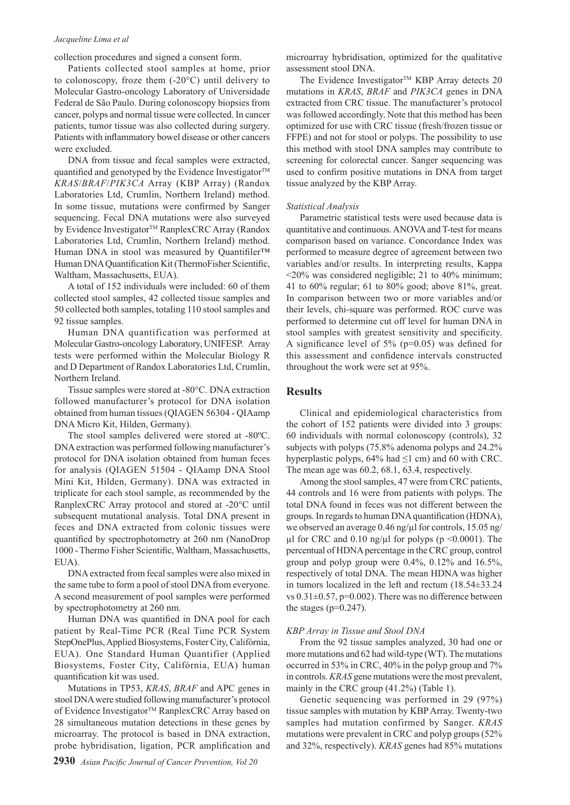#### *Jacqueline Lima et al*

collection procedures and signed a consent form.

Patients collected stool samples at home, prior to colonoscopy, froze them (-20°C) until delivery to Molecular Gastro-oncology Laboratory of Universidade Federal de São Paulo. During colonoscopy biopsies from cancer, polyps and normal tissue were collected. In cancer patients, tumor tissue was also collected during surgery. Patients with inflammatory bowel disease or other cancers were excluded.

DNA from tissue and fecal samples were extracted, quantified and genotyped by the Evidence Investigator™ *KRAS*/*BRAF*/*PIK3CA* Array (KBP Array) (Randox Laboratories Ltd, Crumlin, Northern Ireland) method. In some tissue, mutations were confirmed by Sanger sequencing. Fecal DNA mutations were also surveyed by Evidence Investigator™ RanplexCRC Array (Randox Laboratories Ltd, Crumlin, Northern Ireland) method. Human DNA in stool was measured by Ouantifiler™ Human DNA Quantification Kit (ThermoFisher Scientific, Waltham, Massachusetts, EUA).

A total of 152 individuals were included: 60 of them collected stool samples, 42 collected tissue samples and 50 collected both samples, totaling 110 stool samples and 92 tissue samples.

Human DNA quantification was performed at Molecular Gastro-oncology Laboratory, UNIFESP. Array tests were performed within the Molecular Biology R and D Department of Randox Laboratories Ltd, Crumlin, Northern Ireland.

Tissue samples were stored at -80°C. DNA extraction followed manufacturer's protocol for DNA isolation obtained from human tissues (QIAGEN 56304 - QIAamp DNA Micro Kit, Hilden, Germany).

The stool samples delivered were stored at -80ºC. DNA extraction was performed following manufacturer's protocol for DNA isolation obtained from human feces for analysis (QIAGEN 51504 - QIAamp DNA Stool Mini Kit, Hilden, Germany). DNA was extracted in triplicate for each stool sample, as recommended by the RanplexCRC Array protocol and stored at -20°C until subsequent mutational analysis. Total DNA present in feces and DNA extracted from colonic tissues were quantified by spectrophotometry at 260 nm (NanoDrop 1000 - Thermo Fisher Scientific, Waltham, Massachusetts, EUA).

DNA extracted from fecal samples were also mixed in the same tube to form a pool of stool DNA from everyone. A second measurement of pool samples were performed by spectrophotometry at 260 nm.

Human DNA was quantified in DNA pool for each patient by Real-Time PCR (Real Time PCR System StepOnePlus, Applied Biosystems, Foster City, Califórnia, EUA). One Standard Human Quantifier (Applied Biosystems, Foster City, Califórnia, EUA) human quantification kit was used.

Mutations in TP53, *KRAS*, *BRAF* and APC genes in stool DNA were studied following manufacturer's protocol of Evidence Investigator<sup>™</sup> RanplexCRC Array based on 28 simultaneous mutation detections in these genes by microarray. The protocol is based in DNA extraction, probe hybridisation, ligation, PCR amplification and microarray hybridisation, optimized for the qualitative assessment stool DNA.

The Evidence Investigator<sup>TM</sup> KBP Array detects 20 mutations in *KRAS*, *BRAF* and *PIK3CA* genes in DNA extracted from CRC tissue. The manufacturer's protocol was followed accordingly. Note that this method has been optimized for use with CRC tissue (fresh/frozen tissue or FFPE) and not for stool or polyps. The possibility to use this method with stool DNA samples may contribute to screening for colorectal cancer. Sanger sequencing was used to confirm positive mutations in DNA from target tissue analyzed by the KBP Array.

#### *Statistical Analysis*

Parametric statistical tests were used because data is quantitative and continuous. ANOVA and T-test for means comparison based on variance. Concordance Index was performed to measure degree of agreement between two variables and/or results. In interpreting results, Kappa  $\leq$ 20% was considered negligible; 21 to 40% minimum; 41 to 60% regular; 61 to 80% good; above 81%, great. In comparison between two or more variables and/or their levels, chi-square was performed. ROC curve was performed to determine cut off level for human DNA in stool samples with greatest sensitivity and specificity. A significance level of 5% (p=0.05) was defined for this assessment and confidence intervals constructed throughout the work were set at 95%.

### **Results**

Clinical and epidemiological characteristics from the cohort of 152 patients were divided into 3 groups: 60 individuals with normal colonoscopy (controls), 32 subjects with polyps (75.8% adenoma polyps and 24.2% hyperplastic polyps,  $64\%$  had  $\leq 1$  cm) and 60 with CRC. The mean age was 60.2, 68.1, 63.4, respectively.

Among the stool samples, 47 were from CRC patients, 44 controls and 16 were from patients with polyps. The total DNA found in feces was not different between the groups. In regards to human DNA quantification (HDNA), we observed an average 0.46 ng/ $\mu$ l for controls, 15.05 ng/  $\mu$ l for CRC and 0.10 ng/ $\mu$ l for polyps (p <0.0001). The percentual of HDNA percentage in the CRC group, control group and polyp group were  $0.4\%$ ,  $0.12\%$  and  $16.5\%$ , respectively of total DNA. The mean HDNA was higher in tumors localized in the left and rectum (18.54±33.24 vs  $0.31 \pm 0.57$ , p=0.002). There was no difference between the stages ( $p=0.247$ ).

#### *KBP Array in Tissue and Stool DNA*

From the 92 tissue samples analyzed, 30 had one or more mutations and 62 had wild-type (WT). The mutations occurred in 53% in CRC, 40% in the polyp group and 7% in controls. *KRAS* gene mutations were the most prevalent, mainly in the CRC group (41.2%) (Table 1).

Genetic sequencing was performed in 29 (97%) tissue samples with mutation by KBP Array. Twenty-two samples had mutation confirmed by Sanger. *KRAS* mutations were prevalent in CRC and polyp groups (52% and 32%, respectively). *KRAS* genes had 85% mutations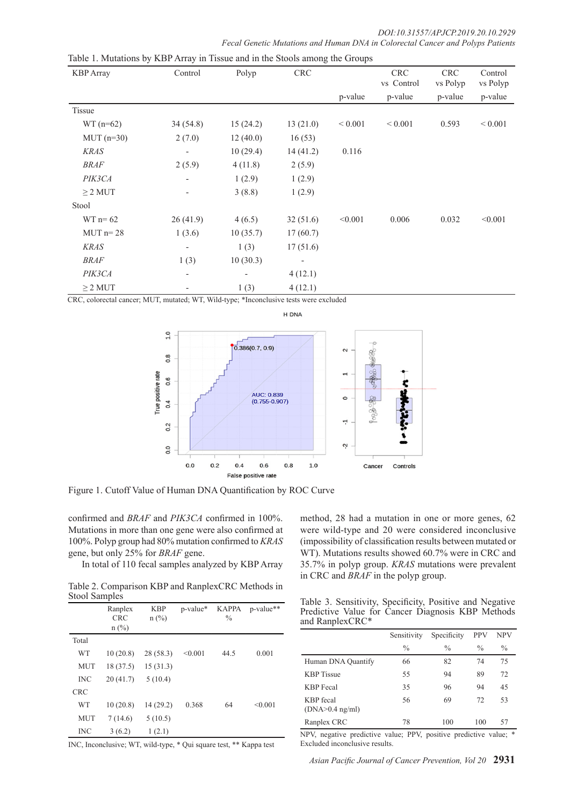| <b>KBP</b> Array | Control                  | Polyp    | <b>CRC</b>               |             | <b>CRC</b><br>vs Control | <b>CRC</b><br>vs Polyp | Control<br>vs Polyp |
|------------------|--------------------------|----------|--------------------------|-------------|--------------------------|------------------------|---------------------|
|                  |                          |          |                          | p-value     | p-value                  | p-value                | p-value             |
| Tissue           |                          |          |                          |             |                          |                        |                     |
| $WT(n=62)$       | 34(54.8)                 | 15(24.2) | 13(21.0)                 | ${}< 0.001$ | ${}< 0.001$              | 0.593                  | ${}_{0.001}$        |
| $MUT$ (n=30)     | 2(7.0)                   | 12(40.0) | 16(53)                   |             |                          |                        |                     |
| <b>KRAS</b>      | $\overline{\phantom{a}}$ | 10(29.4) | 14(41.2)                 | 0.116       |                          |                        |                     |
| <b>BRAF</b>      | 2(5.9)                   | 4(11.8)  | 2(5.9)                   |             |                          |                        |                     |
| PIK3CA           |                          | 1(2.9)   | 1(2.9)                   |             |                          |                        |                     |
| $\geq$ 2 MUT     | $\overline{\phantom{a}}$ | 3(8.8)   | 1(2.9)                   |             |                          |                        |                     |
| Stool            |                          |          |                          |             |                          |                        |                     |
| $WT n = 62$      | 26(41.9)                 | 4(6.5)   | 32(51.6)                 | < 0.001     | 0.006                    | 0.032                  | < 0.001             |
| $MUT$ n= 28      | 1(3.6)                   | 10(35.7) | 17(60.7)                 |             |                          |                        |                     |
| <b>KRAS</b>      |                          | 1(3)     | 17(51.6)                 |             |                          |                        |                     |
| BRAF             | 1(3)                     | 10(30.3) | $\overline{\phantom{a}}$ |             |                          |                        |                     |
| PIK3CA           | $\overline{\phantom{a}}$ |          | 4(12.1)                  |             |                          |                        |                     |
| $\geq$ 2 MUT     |                          | 1(3)     | 4(12.1)                  |             |                          |                        |                     |

Table 1. Mutations by KBP Array in Tissue and in the Stools among the Groups

CRC, colorectal cancer; MUT, mutated; WT, Wild-type; \*Inconclusive tests were excluded



Figure 1. Cutoff Value of Human DNA Quantification by ROC Curve

confirmed and *BRAF* and *PIK3CA* confirmed in 100%. Mutations in more than one gene were also confirmed at 100%. Polyp group had 80% mutation confirmed to *KRAS* gene, but only 25% for *BRAF* gene.

In total of 110 fecal samples analyzed by KBP Array

Table 2. Comparison KBP and RanplexCRC Methods in Stool Samples

|            | Ranplex<br><b>CRC</b><br>$n$ (%) | <b>KBP</b><br>$n$ (%) | p-value* | <b>KAPPA</b><br>$\frac{0}{0}$ | p-value** |
|------------|----------------------------------|-----------------------|----------|-------------------------------|-----------|
| Total      |                                  |                       |          |                               |           |
| WT         | 10(20.8)                         | 28 (58.3)             | < 0.001  | 44.5                          | 0.001     |
| <b>MUT</b> | 18 (37.5)                        | 15(31.3)              |          |                               |           |
| <b>INC</b> | 20(41.7)                         | 5(10.4)               |          |                               |           |
| <b>CRC</b> |                                  |                       |          |                               |           |
| <b>WT</b>  | 10(20.8)                         | 14 (29.2)             | 0.368    | 64                            | < 0.001   |
| <b>MUT</b> | 7(14.6)                          | 5(10.5)               |          |                               |           |
| <b>INC</b> | 3(6.2)                           | 1(2.1)                |          |                               |           |

INC, Inconclusive; WT, wild-type, \* Qui square test, \*\* Kappa test

method, 28 had a mutation in one or more genes, 62 were wild-type and 20 were considered inconclusive (impossibility of classification results between mutated or WT). Mutations results showed 60.7% were in CRC and 35.7% in polyp group. *KRAS* mutations were prevalent in CRC and *BRAF* in the polyp group.

|                 |  |  | Table 3. Sensitivity, Specificity, Positive and Negative |
|-----------------|--|--|----------------------------------------------------------|
|                 |  |  | Predictive Value for Cancer Diagnosis KBP Methods        |
| and RanplexCRC* |  |  |                                                          |

|                                       | Sensitivity   | Specificity   | PPV           | <b>NPV</b>    |
|---------------------------------------|---------------|---------------|---------------|---------------|
|                                       | $\frac{0}{0}$ | $\frac{0}{0}$ | $\frac{0}{0}$ | $\frac{0}{0}$ |
| Human DNA Quantify                    | 66            | 82            | 74            | 75            |
| <b>KBP</b> Tissue                     | 55            | 94            | 89            | 72            |
| <b>KBP</b> Fecal                      | 35            | 96            | 94            | 45            |
| <b>KBP</b> fecal<br>$(DNA>0.4$ ng/ml) | 56            | 69            | 72            | 53            |
| Ranplex CRC                           | 78            | 100           | 100           | 57            |

NPV, negative predictive value; PPV, positive predictive value; \* Excluded inconclusive results.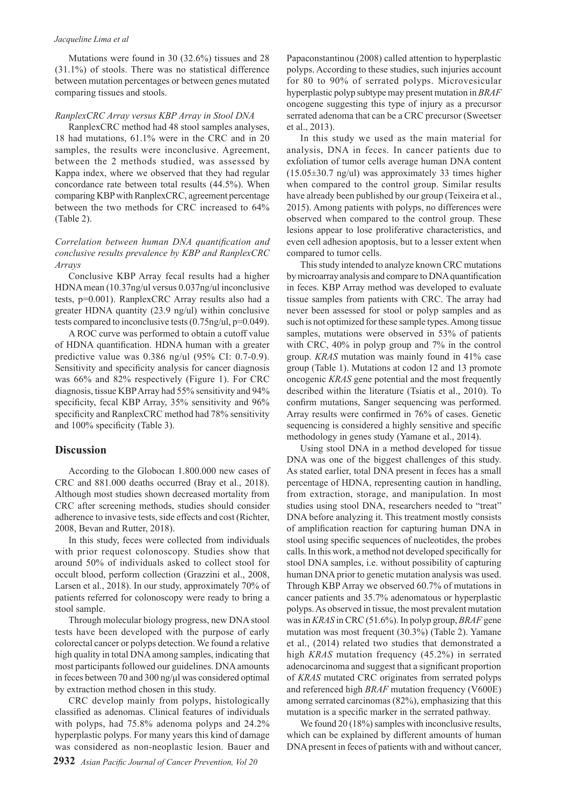#### *Jacqueline Lima et al*

Mutations were found in 30 (32.6%) tissues and 28 (31.1%) of stools. There was no statistical difference between mutation percentages or between genes mutated comparing tissues and stools.

#### *RanplexCRC Array versus KBP Array in Stool DNA*

RanplexCRC method had 48 stool samples analyses, 18 had mutations, 61.1% were in the CRC and in 20 samples, the results were inconclusive. Agreement, between the 2 methods studied, was assessed by Kappa index, where we observed that they had regular concordance rate between total results (44.5%). When comparing KBP with RanplexCRC, agreement percentage between the two methods for CRC increased to 64% (Table 2).

## *Correlation between human DNA quantification and conclusive results prevalence by KBP and RanplexCRC Arrays*

Conclusive KBP Array fecal results had a higher HDNA mean (10.37ng/ul versus 0.037ng/ul inconclusive tests, p=0.001). RanplexCRC Array results also had a greater HDNA quantity (23.9 ng/ul) within conclusive tests compared to inconclusive tests (0.75ng/ul, p=0.049).

A ROC curve was performed to obtain a cutoff value of HDNA quantification. HDNA human with a greater predictive value was 0.386 ng/ul (95% CI: 0.7-0.9). Sensitivity and specificity analysis for cancer diagnosis was 66% and 82% respectively (Figure 1). For CRC diagnosis, tissue KBP Array had 55% sensitivity and 94% specificity, fecal KBP Array, 35% sensitivity and 96% specificity and RanplexCRC method had 78% sensitivity and 100% specificity (Table 3).

#### **Discussion**

According to the Globocan 1.800.000 new cases of CRC and 881.000 deaths occurred (Bray et al., 2018). Although most studies shown decreased mortality from CRC after screening methods, studies should consider adherence to invasive tests, side effects and cost (Richter, 2008, Bevan and Rutter, 2018).

In this study, feces were collected from individuals with prior request colonoscopy. Studies show that around 50% of individuals asked to collect stool for occult blood, perform collection (Grazzini et al., 2008, Larsen et al., 2018). In our study, approximately 70% of patients referred for colonoscopy were ready to bring a stool sample.

Through molecular biology progress, new DNA stool tests have been developed with the purpose of early colorectal cancer or polyps detection. We found a relative high quality in total DNA among samples, indicating that most participants followed our guidelines. DNA amounts in feces between 70 and 300 ng/μl was considered optimal by extraction method chosen in this study.

CRC develop mainly from polyps, histologically classified as adenomas. Clinical features of individuals with polyps, had 75.8% adenoma polyps and 24.2% hyperplastic polyps. For many years this kind of damage was considered as non-neoplastic lesion. Bauer and

Papaconstantinou (2008) called attention to hyperplastic polyps. According to these studies, such injuries account for 80 to 90% of serrated polyps. Microvesicular hyperplastic polyp subtype may present mutation in *BRAF* oncogene suggesting this type of injury as a precursor serrated adenoma that can be a CRC precursor (Sweetser et al., 2013).

In this study we used as the main material for analysis, DNA in feces. In cancer patients due to exfoliation of tumor cells average human DNA content (15.05±30.7 ng/ul) was approximately 33 times higher when compared to the control group. Similar results have already been published by our group (Teixeira et al., 2015). Among patients with polyps, no differences were observed when compared to the control group. These lesions appear to lose proliferative characteristics, and even cell adhesion apoptosis, but to a lesser extent when compared to tumor cells.

This study intended to analyze known CRC mutations by microarray analysis and compare to DNA quantification in feces. KBP Array method was developed to evaluate tissue samples from patients with CRC. The array had never been assessed for stool or polyp samples and as such is not optimized for these sample types. Among tissue samples, mutations were observed in 53% of patients with CRC, 40% in polyp group and 7% in the control group. *KRAS* mutation was mainly found in 41% case group (Table 1). Mutations at codon 12 and 13 promote oncogenic *KRAS* gene potential and the most frequently described within the literature (Tsiatis et al., 2010). To confirm mutations, Sanger sequencing was performed. Array results were confirmed in 76% of cases. Genetic sequencing is considered a highly sensitive and specific methodology in genes study (Yamane et al., 2014).

Using stool DNA in a method developed for tissue DNA was one of the biggest challenges of this study. As stated earlier, total DNA present in feces has a small percentage of HDNA, representing caution in handling, from extraction, storage, and manipulation. In most studies using stool DNA, researchers needed to "treat" DNA before analyzing it. This treatment mostly consists of amplification reaction for capturing human DNA in stool using specific sequences of nucleotides, the probes calls. In this work, a method not developed specifically for stool DNA samples, i.e. without possibility of capturing human DNA prior to genetic mutation analysis was used. Through KBP Array we observed 60.7% of mutations in cancer patients and 35.7% adenomatous or hyperplastic polyps. As observed in tissue, the most prevalent mutation was in *KRAS* in CRC (51.6%). In polyp group, *BRAF* gene mutation was most frequent (30.3%) (Table 2). Yamane et al., (2014) related two studies that demonstrated a high *KRAS* mutation frequency (45.2%) in serrated adenocarcinoma and suggest that a significant proportion of *KRAS* mutated CRC originates from serrated polyps and referenced high *BRAF* mutation frequency (V600E) among serrated carcinomas (82%), emphasizing that this mutation is a specific marker in the serrated pathway.

We found 20 (18%) samples with inconclusive results, which can be explained by different amounts of human DNA present in feces of patients with and without cancer,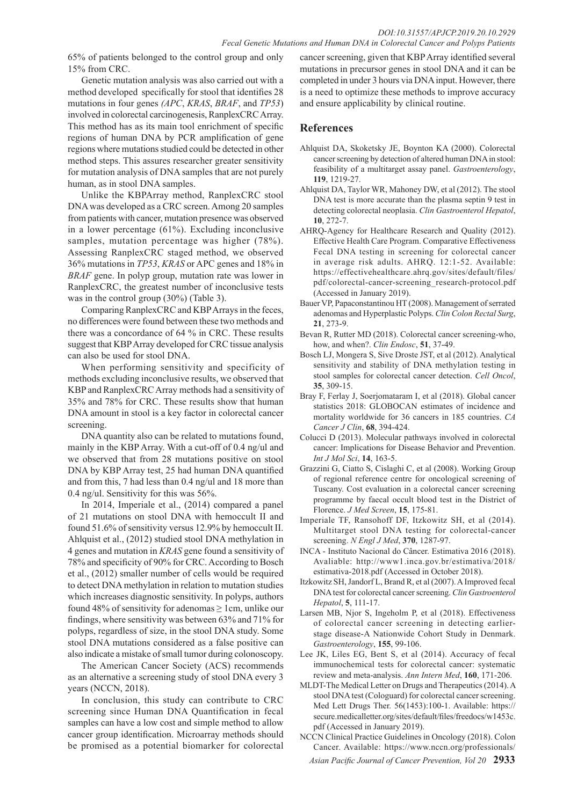65% of patients belonged to the control group and only 15% from CRC.

Genetic mutation analysis was also carried out with a method developed specifically for stool that identifies 28 mutations in four genes *(APC*, *KRAS*, *BRAF*, and *TP53*) involved in colorectal carcinogenesis, RanplexCRC Array. This method has as its main tool enrichment of specific regions of human DNA by PCR amplification of gene regions where mutations studied could be detected in other method steps. This assures researcher greater sensitivity for mutation analysis of DNA samples that are not purely human, as in stool DNA samples.

Unlike the KBPArray method, RanplexCRC stool DNA was developed as a CRC screen. Among 20 samples from patients with cancer, mutation presence was observed in a lower percentage (61%). Excluding inconclusive samples, mutation percentage was higher (78%). Assessing RanplexCRC staged method, we observed 36% mutations in *TP53*, *KRAS* or APC genes and 18% in *BRAF* gene. In polyp group, mutation rate was lower in RanplexCRC, the greatest number of inconclusive tests was in the control group (30%) (Table 3).

Comparing RanplexCRC and KBP Arrays in the feces, no differences were found between these two methods and there was a concordance of 64 % in CRC. These results suggest that KBP Array developed for CRC tissue analysis can also be used for stool DNA.

When performing sensitivity and specificity of methods excluding inconclusive results, we observed that KBP and RanplexCRC Array methods had a sensitivity of 35% and 78% for CRC. These results show that human DNA amount in stool is a key factor in colorectal cancer screening.

DNA quantity also can be related to mutations found, mainly in the KBP Array. With a cut-off of 0.4 ng/ul and we observed that from 28 mutations positive on stool DNA by KBP Array test, 25 had human DNA quantified and from this, 7 had less than 0.4 ng/ul and 18 more than 0.4 ng/ul. Sensitivity for this was 56%.

In 2014, Imperiale et al., (2014) compared a panel of 21 mutations on stool DNA with hemoccult II and found 51.6% of sensitivity versus 12.9% by hemoccult II. Ahlquist et al., (2012) studied stool DNA methylation in 4 genes and mutation in *KRAS* gene found a sensitivity of 78% and specificity of 90% for CRC. According to Bosch et al., (2012) smaller number of cells would be required to detect DNA methylation in relation to mutation studies which increases diagnostic sensitivity. In polyps, authors found 48% of sensitivity for adenomas  $\geq 1$ cm, unlike our findings, where sensitivity was between 63% and 71% for polyps, regardless of size, in the stool DNA study. Some stool DNA mutations considered as a false positive can also indicate a mistake of small tumor during colonoscopy.

The American Cancer Society (ACS) recommends as an alternative a screening study of stool DNA every 3 years (NCCN, 2018).

In conclusion, this study can contribute to CRC screening since Human DNA Quantification in fecal samples can have a low cost and simple method to allow cancer group identification. Microarray methods should be promised as a potential biomarker for colorectal

cancer screening, given that KBP Array identified several mutations in precursor genes in stool DNA and it can be completed in under 3 hours via DNA input. However, there is a need to optimize these methods to improve accuracy and ensure applicability by clinical routine.

## **References**

- Ahlquist DA, Skoketsky JE, Boynton KA (2000). Colorectal cancer screening by detection of altered human DNA in stool: feasibility of a multitarget assay panel. *Gastroenterology*, **119**, 1219-27.
- Ahlquist DA, Taylor WR, Mahoney DW, et al (2012). The stool DNA test is more accurate than the plasma septin 9 test in detecting colorectal neoplasia. *Clin Gastroenterol Hepatol*, **10**, 272-7.
- AHRQ-Agency for Healthcare Research and Quality (2012). Effective Health Care Program. Comparative Effectiveness Fecal DNA testing in screening for colorectal cancer in average risk adults. AHRQ. 12:1-52. Available: https://effectivehealthcare.ahrq.gov/sites/default/files/ pdf/colorectal-cancer-screening\_research-protocol.pdf (Accessed in January 2019).
- Bauer VP, Papaconstantinou HT (2008). Management of serrated adenomas and Hyperplastic Polyps. *Clin Colon Rectal Surg*, **21**, 273-9.
- Bevan R, Rutter MD (2018). Colorectal cancer screening-who, how, and when?. *Clin Endosc*, **51**, 37-49.
- Bosch LJ, Mongera S, Sive Droste JST, et al (2012). Analytical sensitivity and stability of DNA methylation testing in stool samples for colorectal cancer detection. *Cell Oncol*, **35**, 309-15.
- Bray F, Ferlay J, Soerjomataram I, et al (2018). Global cancer statistics 2018: GLOBOCAN estimates of incidence and mortality worldwide for 36 cancers in 185 countries. *CA Cancer J Clin*, **68**, 394-424.
- Colucci D (2013). Molecular pathways involved in colorectal cancer: Implications for Disease Behavior and Prevention. *Int J Mol Sci*, **14**, 163-5.
- Grazzini G, Ciatto S, Cislaghi C, et al (2008). Working Group of regional reference centre for oncological screening of Tuscany. Cost evaluation in a colorectal cancer screening programme by faecal occult blood test in the District of Florence. *J Med Screen*, **15**, 175-81.
- Imperiale TF, Ransohoff DF, Itzkowitz SH, et al (2014). Multitarget stool DNA testing for colorectal-cancer screening. *N Engl J Med*, **370**, 1287-97.
- INCA Instituto Nacional do Câncer. Estimativa 2016 (2018). Avaliable: http://www1.inca.gov.br/estimativa/2018/ estimativa-2018.pdf (Accessed in October 2018).
- Itzkowitz SH, Jandorf L, Brand R, et al (2007). A Improved fecal DNA test for colorectal cancer screening. *Clin Gastroenterol Hepatol*, **5**, 111-17.
- Larsen MB, Njor S, Ingeholm P, et al (2018). Effectiveness of colorectal cancer screening in detecting earlierstage disease-A Nationwide Cohort Study in Denmark. *Gastroenterology*, **155**, 99-106.
- Lee JK, Liles EG, Bent S, et al (2014). Accuracy of fecal immunochemical tests for colorectal cancer: systematic review and meta-analysis. *Ann Intern Med*, **160**, 171-206.
- MLDT-The Medical Letter on Drugs and Therapeutics (2014). A stool DNA test (Cologuard) for colorectal cancer screening. Med Lett Drugs Ther. 56(1453):100-1. Available: https:// secure.medicalletter.org/sites/default/files/freedocs/w1453c. pdf (Accessed in January 2019).
- NCCN Clinical Practice Guidelines in Oncology (2018). Colon Cancer. Available: https://www.nccn.org/professionals/

*Asian Pacific Journal of Cancer Prevention, Vol 20* **2933**